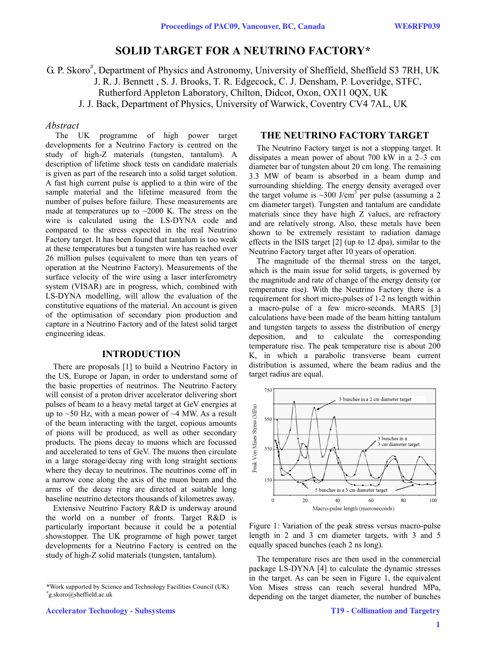# **SOLID TARGET FOR A NEUTRINO FACTORY\***

G. P. Skoro<sup>#</sup>, Department of Physics and Astronomy, University of Sheffield, Sheffield S3 7RH, UK

J. R. J. Bennett , S. J. Brooks, T. R. Edgecock, C. J. Densham, P. Loveridge, STFC,

Rutherford Appleton Laboratory, Chilton, Didcot, Oxon, OX11 0QX, UK

J. J. Back, Department of Physics, University of Warwick, Coventry CV4 7AL, UK

### *Abstract*

The UK programme of high power target developments for a Neutrino Factory is centred on the study of high-Z materials (tungsten, tantalum). A description of lifetime shock tests on candidate materials is given as part of the research into a solid target solution. A fast high current pulse is applied to a thin wire of the sample material and the lifetime measured from the number of pulses before failure. These measurements are made at temperatures up to  $\sim$  2000 K. The stress on the wire is calculated using the LS-DYNA code and compared to the stress expected in the real Neutrino Factory target. It has been found that tantalum is too weak at these temperatures but a tungsten wire has reached over 26 million pulses (equivalent to more than ten years of operation at the Neutrino Factory). Measurements of the surface velocity of the wire using a laser interferometry system (VISAR) are in progress, which, combined with LS-DYNA modelling, will allow the evaluation of the constitutive equations of the material. An account is given of the optimisation of secondary pion production and capture in a Neutrino Factory and of the latest solid target engineering ideas.

# **INTRODUCTION**

There are proposals [1] to build a Neutrino Factory in the US, Europe or Japan, in order to understand some of the basic properties of neutrinos. The Neutrino Factory will consist of a proton driver accelerator delivering short pulses of beam to a heavy metal target at GeV energies at up to  $\sim$  50 Hz, with a mean power of  $\sim$  4 MW. As a result of the beam interacting with the target, copious amounts of pions will be produced, as well as other secondary products. The pions decay to muons which are focussed and accelerated to tens of GeV. The muons then circulate in a large storage/decay ring with long straight sections where they decay to neutrinos. The neutrinos come off in a narrow cone along the axis of the muon beam and the arms of the decay ring are directed at suitable long baseline neutrino detectors thousands of kilometres away.

Extensive Neutrino Factory R&D is underway around the world on a number of fronts. Target R&D is particularly important because it could be a potential showstopper. The UK programme of high power target developments for a Neutrino Factory is centred on the study of high-Z solid materials (tungsten, tantalum).

# **THE NEUTRINO FACTORY TARGET**

The Neutrino Factory target is not a stopping target. It dissipates a mean power of about 700 kW in a 2–3 cm diameter bar of tungsten about 20 cm long. The remaining 3.3 MW of beam is absorbed in a beam dump and surrounding shielding. The energy density averaged over the target volume is  $\sim$ 300 J/cm<sup>3</sup> per pulse (assuming a 2 cm diameter target). Tungsten and tantalum are candidate materials since they have high Z values, are refractory and are relatively strong. Also, these metals have been shown to be extremely resistant to radiation damage effects in the ISIS target [2] (up to 12 dpa), similar to the Neutrino Factory target after 10 years of operation.

The magnitude of the thermal stress on the target, which is the main issue for solid targets, is governed by the magnitude and rate of change of the energy density (or temperature rise). With the Neutrino Factory there is a requirement for short micro-pulses of 1-2 ns length within a macro-pulse of a few micro-seconds. MARS [3] calculations have been made of the beam hitting tantalum and tungsten targets to assess the distribution of energy deposition, and to calculate the corresponding temperature rise. The peak temperature rise is about 200 K, in which a parabolic transverse beam current distribution is assumed, where the beam radius and the target radius are equal.



Figure 1: Variation of the peak stress versus macro-pulse length in 2 and 3 cm diameter targets, with 3 and 5 equally spaced bunches (each 2 ns long).

The temperature rises are then used in the commercial package LS-DYNA [4] to calculate the dynamic stresses in the target. As can be seen in Figure 1, the equivalent Von Mises stress can reach several hundred MPa, depending on the target diameter, the number of bunches

<sup>\*</sup>Work supported by Science and Technology Facilities Council (UK) # g.skoro@sheffield.ac.uk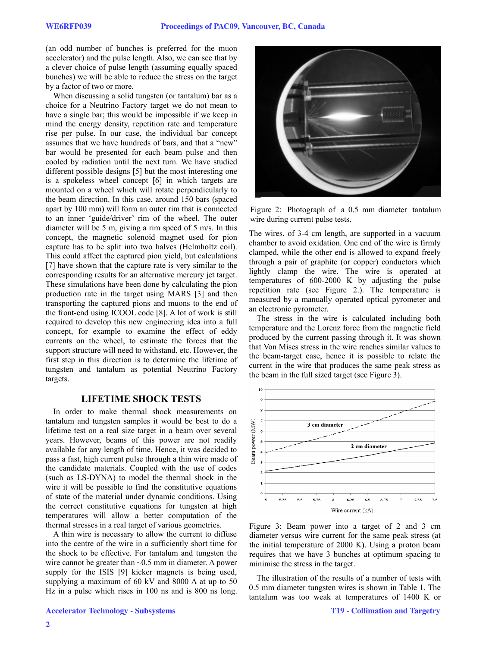(an odd number of bunches is preferred for the muon accelerator) and the pulse length. Also, we can see that by a clever choice of pulse length (assuming equally spaced bunches) we will be able to reduce the stress on the target by a factor of two or more.

When discussing a solid tungsten (or tantalum) bar as a choice for a Neutrino Factory target we do not mean to have a single bar; this would be impossible if we keep in mind the energy density, repetition rate and temperature rise per pulse. In our case, the individual bar concept assumes that we have hundreds of bars, and that a "new" bar would be presented for each beam pulse and then cooled by radiation until the next turn. We have studied different possible designs [5] but the most interesting one is a spokeless wheel concept [6] in which targets are mounted on a wheel which will rotate perpendicularly to the beam direction. In this case, around 150 bars (spaced apart by 100 mm) will form an outer rim that is connected to an inner 'guide/driver' rim of the wheel. The outer diameter will be 5 m, giving a rim speed of 5 m/s. In this concept, the magnetic solenoid magnet used for pion capture has to be split into two halves (Helmholtz coil). This could affect the captured pion yield, but calculations [7] have shown that the capture rate is very similar to the corresponding results for an alternative mercury jet target. These simulations have been done by calculating the pion production rate in the target using MARS [3] and then transporting the captured pions and muons to the end of the front-end using ICOOL code [8]. A lot of work is still required to develop this new engineering idea into a full concept, for example to examine the effect of eddy currents on the wheel, to estimate the forces that the support structure will need to withstand, etc. However, the first step in this direction is to determine the lifetime of tungsten and tantalum as potential Neutrino Factory targets.

#### **LIFETIME SHOCK TESTS**

In order to make thermal shock measurements on tantalum and tungsten samples it would be best to do a lifetime test on a real size target in a beam over several years. However, beams of this power are not readily available for any length of time. Hence, it was decided to pass a fast, high current pulse through a thin wire made of the candidate materials. Coupled with the use of codes (such as LS-DYNA) to model the thermal shock in the wire it will be possible to find the constitutive equations of state of the material under dynamic conditions. Using the correct constitutive equations for tungsten at high temperatures will allow a better computation of the thermal stresses in a real target of various geometries.

A thin wire is necessary to allow the current to diffuse into the centre of the wire in a sufficiently short time for the shock to be effective. For tantalum and tungsten the wire cannot be greater than  $\sim 0.5$  mm in diameter. A power supply for the ISIS [9] kicker magnets is being used, supplying a maximum of 60 kV and 8000 A at up to 50 Hz in a pulse which rises in 100 ns and is 800 ns long.



Figure 2: Photograph of a 0.5 mm diameter tantalum wire during current pulse tests.

The wires, of 3-4 cm length, are supported in a vacuum chamber to avoid oxidation. One end of the wire is firmly clamped, while the other end is allowed to expand freely through a pair of graphite (or copper) conductors which lightly clamp the wire. The wire is operated at temperatures of 600-2000 K by adjusting the pulse repetition rate (see Figure 2.). The temperature is measured by a manually operated optical pyrometer and an electronic pyrometer.

The stress in the wire is calculated including both temperature and the Lorenz force from the magnetic field produced by the current passing through it. It was shown that Von Mises stress in the wire reaches similar values to the beam-target case, hence it is possible to relate the current in the wire that produces the same peak stress as the beam in the full sized target (see Figure 3).



Figure 3: Beam power into a target of 2 and 3 cm diameter versus wire current for the same peak stress (at the initial temperature of 2000 K). Using a proton beam requires that we have 3 bunches at optimum spacing to minimise the stress in the target.

The illustration of the results of a number of tests with 0.5 mm diameter tungsten wires is shown in Table 1. The tantalum was too weak at temperatures of 1400 K or